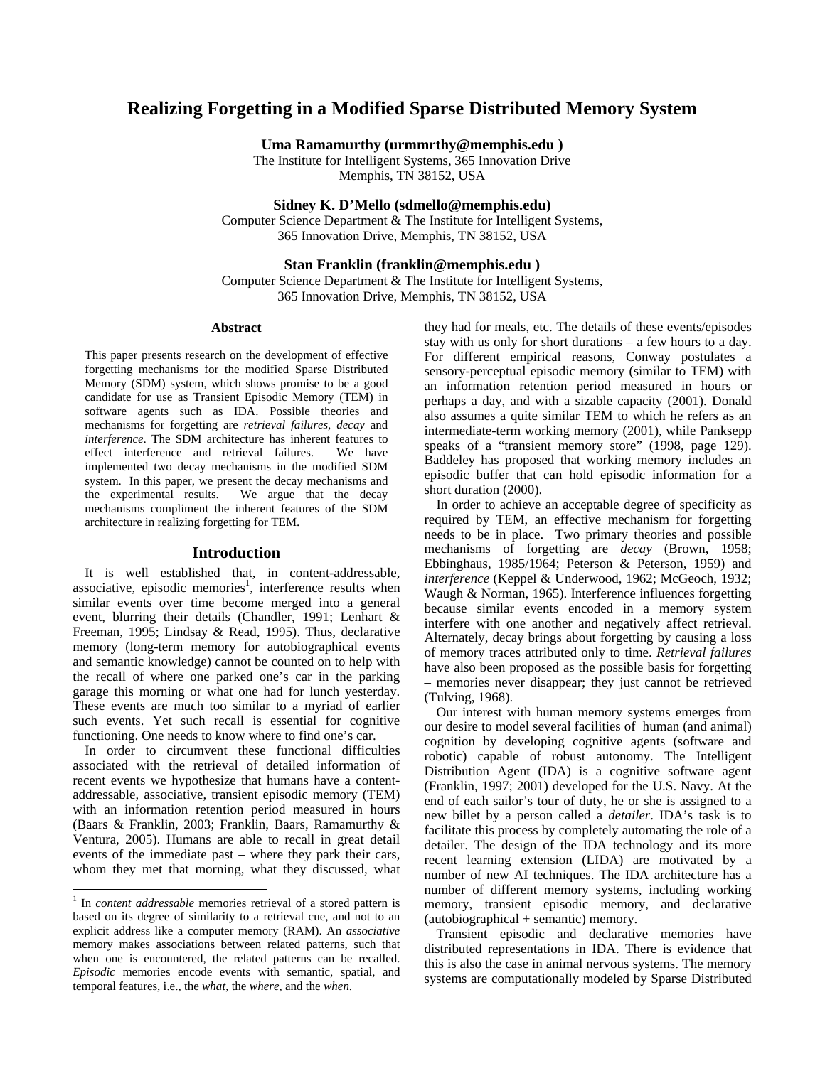# **Realizing Forgetting in a Modified Sparse Distributed Memory System**

**Uma Ramamurthy (urmmrthy@memphis.edu )** 

The Institute for Intelligent Systems, 365 Innovation Drive Memphis, TN 38152, USA

**Sidney K. D'Mello (sdmello@memphis.edu)** 

Computer Science Department & The Institute for Intelligent Systems, 365 Innovation Drive, Memphis, TN 38152, USA

### **Stan Franklin (franklin@memphis.edu )**

Computer Science Department & The Institute for Intelligent Systems, 365 Innovation Drive, Memphis, TN 38152, USA

#### **Abstract**

This paper presents research on the development of effective forgetting mechanisms for the modified Sparse Distributed Memory (SDM) system, which shows promise to be a good candidate for use as Transient Episodic Memory (TEM) in software agents such as IDA. Possible theories and mechanisms for forgetting are *retrieval failures, decay* and *interference*. The SDM architecture has inherent features to effect interference and retrieval failures. We have implemented two decay mechanisms in the modified SDM system. In this paper, we present the decay mechanisms and the experimental results. We argue that the decay mechanisms compliment the inherent features of the SDM architecture in realizing forgetting for TEM.

### **Introduction**

It is well established that, in content-addressable, associative, episodic memories<sup>1</sup>, interference results when similar events over time become merged into a general event, blurring their details (Chandler, 1991; Lenhart & Freeman, 1995; Lindsay & Read, 1995). Thus, declarative memory (long-term memory for autobiographical events and semantic knowledge) cannot be counted on to help with the recall of where one parked one's car in the parking garage this morning or what one had for lunch yesterday. These events are much too similar to a myriad of earlier such events. Yet such recall is essential for cognitive functioning. One needs to know where to find one's car.

In order to circumvent these functional difficulties associated with the retrieval of detailed information of recent events we hypothesize that humans have a contentaddressable, associative, transient episodic memory (TEM) with an information retention period measured in hours (Baars & Franklin, 2003; Franklin, Baars, Ramamurthy & Ventura, 2005). Humans are able to recall in great detail events of the immediate past – where they park their cars, whom they met that morning, what they discussed, what

-

they had for meals, etc. The details of these events/episodes stay with us only for short durations – a few hours to a day. For different empirical reasons, Conway postulates a sensory-perceptual episodic memory (similar to TEM) with an information retention period measured in hours or perhaps a day, and with a sizable capacity (2001). Donald also assumes a quite similar TEM to which he refers as an intermediate-term working memory (2001), while Panksepp speaks of a "transient memory store" (1998, page 129). Baddeley has proposed that working memory includes an episodic buffer that can hold episodic information for a short duration (2000).

In order to achieve an acceptable degree of specificity as required by TEM, an effective mechanism for forgetting needs to be in place. Two primary theories and possible mechanisms of forgetting are *decay* (Brown, 1958; Ebbinghaus, 1985/1964; Peterson & Peterson, 1959) and *interference* (Keppel & Underwood, 1962; McGeoch, 1932; Waugh & Norman, 1965). Interference influences forgetting because similar events encoded in a memory system interfere with one another and negatively affect retrieval. Alternately, decay brings about forgetting by causing a loss of memory traces attributed only to time. *Retrieval failures*  have also been proposed as the possible basis for forgetting – memories never disappear; they just cannot be retrieved (Tulving, 1968).

Our interest with human memory systems emerges from our desire to model several facilities of human (and animal) cognition by developing cognitive agents (software and robotic) capable of robust autonomy. The Intelligent Distribution Agent (IDA) is a cognitive software agent (Franklin, 1997; 2001) developed for the U.S. Navy. At the end of each sailor's tour of duty, he or she is assigned to a new billet by a person called a *detailer*. IDA's task is to facilitate this process by completely automating the role of a detailer. The design of the IDA technology and its more recent learning extension (LIDA) are motivated by a number of new AI techniques. The IDA architecture has a number of different memory systems, including working memory, transient episodic memory, and declarative (autobiographical + semantic) memory.

Transient episodic and declarative memories have distributed representations in IDA. There is evidence that this is also the case in animal nervous systems. The memory systems are computationally modeled by Sparse Distributed

<sup>&</sup>lt;sup>1</sup> In *content addressable* memories retrieval of a stored pattern is based on its degree of similarity to a retrieval cue, and not to an explicit address like a computer memory (RAM). An *associative* memory makes associations between related patterns, such that when one is encountered, the related patterns can be recalled. *Episodic* memories encode events with semantic, spatial, and temporal features, i.e., the *what*, the *where*, and the *when*.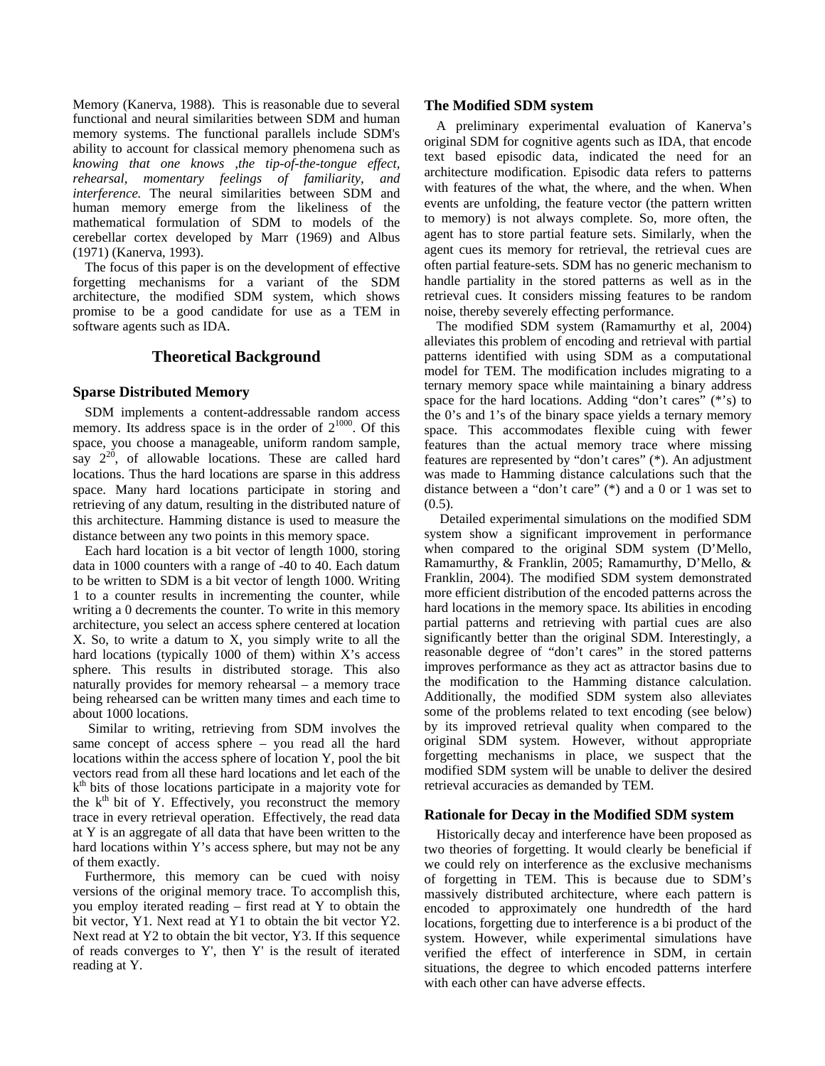Memory (Kanerva, 1988). This is reasonable due to several functional and neural similarities between SDM and human memory systems. The functional parallels include SDM's ability to account for classical memory phenomena such as *knowing that one knows ,the tip-of-the-tongue effect, rehearsal, momentary feelings of familiarity, and interference.* The neural similarities between SDM and human memory emerge from the likeliness of the mathematical formulation of SDM to models of the cerebellar cortex developed by Marr (1969) and Albus (1971) (Kanerva, 1993).

The focus of this paper is on the development of effective forgetting mechanisms for a variant of the SDM architecture, the modified SDM system, which shows promise to be a good candidate for use as a TEM in software agents such as IDA.

### **Theoretical Background**

### **Sparse Distributed Memory**

SDM implements a content-addressable random access memory. Its address space is in the order of  $2^{1000}$ . Of this space, you choose a manageable, uniform random sample, say  $2^{20}$ , of allowable locations. These are called hard locations. Thus the hard locations are sparse in this address space. Many hard locations participate in storing and retrieving of any datum, resulting in the distributed nature of this architecture. Hamming distance is used to measure the distance between any two points in this memory space.

Each hard location is a bit vector of length 1000, storing data in 1000 counters with a range of -40 to 40. Each datum to be written to SDM is a bit vector of length 1000. Writing 1 to a counter results in incrementing the counter, while writing a 0 decrements the counter. To write in this memory architecture, you select an access sphere centered at location X. So, to write a datum to X, you simply write to all the hard locations (typically 1000 of them) within X's access sphere. This results in distributed storage. This also naturally provides for memory rehearsal – a memory trace being rehearsed can be written many times and each time to about 1000 locations.

 Similar to writing, retrieving from SDM involves the same concept of access sphere – you read all the hard locations within the access sphere of location Y, pool the bit vectors read from all these hard locations and let each of the  $k<sup>th</sup>$  bits of those locations participate in a majority vote for the  $k<sup>th</sup>$  bit of Y. Effectively, you reconstruct the memory trace in every retrieval operation. Effectively, the read data at Y is an aggregate of all data that have been written to the hard locations within Y's access sphere, but may not be any of them exactly.

Furthermore, this memory can be cued with noisy versions of the original memory trace. To accomplish this, you employ iterated reading – first read at Y to obtain the bit vector, Y1. Next read at Y1 to obtain the bit vector Y2. Next read at Y2 to obtain the bit vector, Y3. If this sequence of reads converges to Y', then Y' is the result of iterated reading at Y.

#### **The Modified SDM system**

A preliminary experimental evaluation of Kanerva's original SDM for cognitive agents such as IDA, that encode text based episodic data, indicated the need for an architecture modification. Episodic data refers to patterns with features of the what, the where, and the when. When events are unfolding, the feature vector (the pattern written to memory) is not always complete. So, more often, the agent has to store partial feature sets. Similarly, when the agent cues its memory for retrieval, the retrieval cues are often partial feature-sets. SDM has no generic mechanism to handle partiality in the stored patterns as well as in the retrieval cues. It considers missing features to be random noise, thereby severely effecting performance.

The modified SDM system (Ramamurthy et al, 2004) alleviates this problem of encoding and retrieval with partial patterns identified with using SDM as a computational model for TEM. The modification includes migrating to a ternary memory space while maintaining a binary address space for the hard locations. Adding "don't cares" (\*'s) to the 0's and 1's of the binary space yields a ternary memory space. This accommodates flexible cuing with fewer features than the actual memory trace where missing features are represented by "don't cares" (\*). An adjustment was made to Hamming distance calculations such that the distance between a "don't care" (\*) and a 0 or 1 was set to  $(0.5)$ .

 Detailed experimental simulations on the modified SDM system show a significant improvement in performance when compared to the original SDM system (D'Mello, Ramamurthy, & Franklin, 2005; Ramamurthy, D'Mello, & Franklin, 2004). The modified SDM system demonstrated more efficient distribution of the encoded patterns across the hard locations in the memory space. Its abilities in encoding partial patterns and retrieving with partial cues are also significantly better than the original SDM. Interestingly, a reasonable degree of "don't cares" in the stored patterns improves performance as they act as attractor basins due to the modification to the Hamming distance calculation. Additionally, the modified SDM system also alleviates some of the problems related to text encoding (see below) by its improved retrieval quality when compared to the original SDM system. However, without appropriate forgetting mechanisms in place, we suspect that the modified SDM system will be unable to deliver the desired retrieval accuracies as demanded by TEM.

### **Rationale for Decay in the Modified SDM system**

Historically decay and interference have been proposed as two theories of forgetting. It would clearly be beneficial if we could rely on interference as the exclusive mechanisms of forgetting in TEM. This is because due to SDM's massively distributed architecture, where each pattern is encoded to approximately one hundredth of the hard locations, forgetting due to interference is a bi product of the system. However, while experimental simulations have verified the effect of interference in SDM, in certain situations, the degree to which encoded patterns interfere with each other can have adverse effects.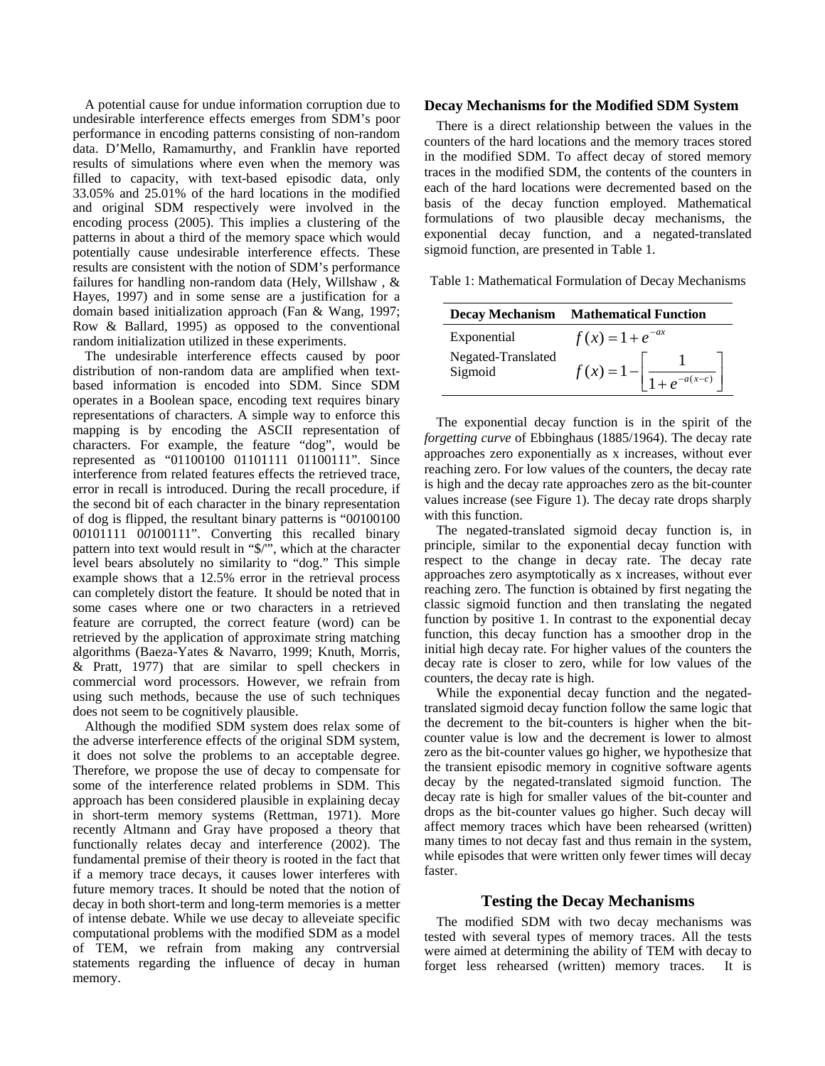A potential cause for undue information corruption due to undesirable interference effects emerges from SDM's poor performance in encoding patterns consisting of non-random data. D'Mello, Ramamurthy, and Franklin have reported results of simulations where even when the memory was filled to capacity, with text-based episodic data, only 33.05% and 25.01% of the hard locations in the modified and original SDM respectively were involved in the encoding process (2005). This implies a clustering of the patterns in about a third of the memory space which would potentially cause undesirable interference effects. These results are consistent with the notion of SDM's performance failures for handling non-random data (Hely, Willshaw , & Hayes, 1997) and in some sense are a justification for a domain based initialization approach (Fan & Wang, 1997; Row & Ballard, 1995) as opposed to the conventional random initialization utilized in these experiments.

The undesirable interference effects caused by poor distribution of non-random data are amplified when textbased information is encoded into SDM. Since SDM operates in a Boolean space, encoding text requires binary representations of characters. A simple way to enforce this mapping is by encoding the ASCII representation of characters. For example, the feature "dog", would be represented as "01100100 01101111 01100111". Since interference from related features effects the retrieved trace, error in recall is introduced. During the recall procedure, if the second bit of each character in the binary representation of dog is flipped, the resultant binary patterns is "0*0*100100 0*0*101111 0*0*100111". Converting this recalled binary pattern into text would result in "\$/'", which at the character level bears absolutely no similarity to "dog." This simple example shows that a 12.5% error in the retrieval process can completely distort the feature. It should be noted that in some cases where one or two characters in a retrieved feature are corrupted, the correct feature (word) can be retrieved by the application of approximate string matching algorithms (Baeza-Yates & Navarro, 1999; Knuth, Morris, & Pratt, 1977) that are similar to spell checkers in commercial word processors. However, we refrain from using such methods, because the use of such techniques does not seem to be cognitively plausible.

Although the modified SDM system does relax some of the adverse interference effects of the original SDM system, it does not solve the problems to an acceptable degree. Therefore, we propose the use of decay to compensate for some of the interference related problems in SDM. This approach has been considered plausible in explaining decay in short-term memory systems (Rettman, 1971). More recently Altmann and Gray have proposed a theory that functionally relates decay and interference (2002). The fundamental premise of their theory is rooted in the fact that if a memory trace decays, it causes lower interferes with future memory traces. It should be noted that the notion of decay in both short-term and long-term memories is a metter of intense debate. While we use decay to alleveiate specific computational problems with the modified SDM as a model of TEM, we refrain from making any contrversial statements regarding the influence of decay in human memory.

#### **Decay Mechanisms for the Modified SDM System**

There is a direct relationship between the values in the counters of the hard locations and the memory traces stored in the modified SDM. To affect decay of stored memory traces in the modified SDM, the contents of the counters in each of the hard locations were decremented based on the basis of the decay function employed. Mathematical formulations of two plausible decay mechanisms, the exponential decay function, and a negated-translated sigmoid function, are presented in Table 1.

Table 1: Mathematical Formulation of Decay Mechanisms

|                               | <b>Decay Mechanism</b> Mathematical Function          |
|-------------------------------|-------------------------------------------------------|
| Exponential                   | $f(x) = 1 + e^{-ax}$                                  |
| Negated-Translated<br>Sigmoid | $f(x) = 1 - \left  \frac{1}{1 + e^{-a(x-c)}} \right $ |

The exponential decay function is in the spirit of the *forgetting curve* of Ebbinghaus (1885/1964). The decay rate approaches zero exponentially as x increases, without ever reaching zero. For low values of the counters, the decay rate is high and the decay rate approaches zero as the bit-counter values increase (see Figure 1). The decay rate drops sharply with this function.

The negated-translated sigmoid decay function is, in principle, similar to the exponential decay function with respect to the change in decay rate. The decay rate approaches zero asymptotically as x increases, without ever reaching zero. The function is obtained by first negating the classic sigmoid function and then translating the negated function by positive 1. In contrast to the exponential decay function, this decay function has a smoother drop in the initial high decay rate. For higher values of the counters the decay rate is closer to zero, while for low values of the counters, the decay rate is high.

While the exponential decay function and the negatedtranslated sigmoid decay function follow the same logic that the decrement to the bit-counters is higher when the bitcounter value is low and the decrement is lower to almost zero as the bit-counter values go higher, we hypothesize that the transient episodic memory in cognitive software agents decay by the negated-translated sigmoid function. The decay rate is high for smaller values of the bit-counter and drops as the bit-counter values go higher. Such decay will affect memory traces which have been rehearsed (written) many times to not decay fast and thus remain in the system, while episodes that were written only fewer times will decay faster.

### **Testing the Decay Mechanisms**

The modified SDM with two decay mechanisms was tested with several types of memory traces. All the tests were aimed at determining the ability of TEM with decay to forget less rehearsed (written) memory traces. It is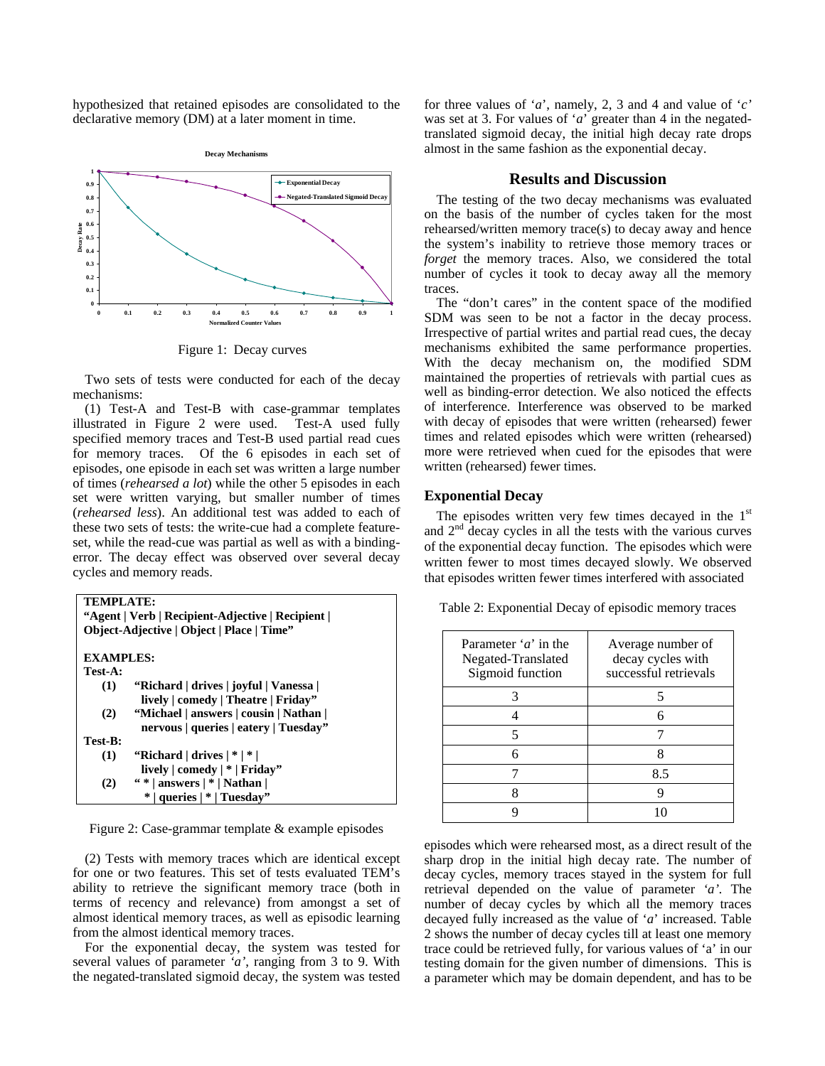hypothesized that retained episodes are consolidated to the declarative memory (DM) at a later moment in time.



Figure 1: Decay curves

Two sets of tests were conducted for each of the decay mechanisms:

(1) Test-A and Test-B with case-grammar templates illustrated in Figure 2 were used. Test-A used fully specified memory traces and Test-B used partial read cues for memory traces. Of the 6 episodes in each set of episodes, one episode in each set was written a large number of times (*rehearsed a lot*) while the other 5 episodes in each set were written varying, but smaller number of times (*rehearsed less*). An additional test was added to each of these two sets of tests: the write-cue had a complete featureset, while the read-cue was partial as well as with a bindingerror. The decay effect was observed over several decay cycles and memory reads.

| TEMPLATE:                                       |                                           |  |
|-------------------------------------------------|-------------------------------------------|--|
| "Agent   Verb   Recipient-Adjective   Recipient |                                           |  |
|                                                 | Object-Adjective   Object   Place   Time" |  |
|                                                 |                                           |  |
| <b>EXAMPLES:</b>                                |                                           |  |
| Test-A:                                         |                                           |  |
| (1)                                             | "Richard   drives   joyful   Vanessa      |  |
|                                                 | lively   comedy   Theatre   Friday"       |  |
| (2)                                             | "Michael   answers   cousin   Nathan      |  |
|                                                 | nervous   queries   eatery   Tuesday"     |  |
| Test-B:                                         |                                           |  |
| (1)                                             | "Richard   drives   *   *                 |  |
|                                                 | lively $ $ comedy $  *  $ Friday"         |  |
| (2)                                             | " *   answers   *   Nathan                |  |
|                                                 | queries   *   Tuesday"                    |  |

Figure 2: Case-grammar template & example episodes

(2) Tests with memory traces which are identical except for one or two features. This set of tests evaluated TEM's ability to retrieve the significant memory trace (both in terms of recency and relevance) from amongst a set of almost identical memory traces, as well as episodic learning from the almost identical memory traces.

For the exponential decay, the system was tested for several values of parameter *'a'*, ranging from 3 to 9. With the negated-translated sigmoid decay, the system was tested for three values of '*a*', namely, 2, 3 and 4 and value of '*c'*  was set at 3. For values of '*a*' greater than 4 in the negatedtranslated sigmoid decay, the initial high decay rate drops almost in the same fashion as the exponential decay.

### **Results and Discussion**

The testing of the two decay mechanisms was evaluated on the basis of the number of cycles taken for the most rehearsed/written memory trace(s) to decay away and hence the system's inability to retrieve those memory traces or *forget* the memory traces. Also, we considered the total number of cycles it took to decay away all the memory traces.

The "don't cares" in the content space of the modified SDM was seen to be not a factor in the decay process. Irrespective of partial writes and partial read cues, the decay mechanisms exhibited the same performance properties. With the decay mechanism on, the modified SDM maintained the properties of retrievals with partial cues as well as binding-error detection. We also noticed the effects of interference. Interference was observed to be marked with decay of episodes that were written (rehearsed) fewer times and related episodes which were written (rehearsed) more were retrieved when cued for the episodes that were written (rehearsed) fewer times.

## **Exponential Decay**

The episodes written very few times decayed in the  $1<sup>st</sup>$ and  $2<sup>nd</sup>$  decay cycles in all the tests with the various curves of the exponential decay function. The episodes which were written fewer to most times decayed slowly. We observed that episodes written fewer times interfered with associated

| Parameter 'a' in the | Average number of |
|----------------------|-------------------|

Table 2: Exponential Decay of episodic memory traces

| Parameter 'a' in the<br>Negated-Translated<br>Sigmoid function | Average number of<br>decay cycles with<br>successful retrievals |
|----------------------------------------------------------------|-----------------------------------------------------------------|
|                                                                |                                                                 |
|                                                                |                                                                 |
|                                                                |                                                                 |
|                                                                |                                                                 |
|                                                                | 8.5                                                             |
|                                                                |                                                                 |
|                                                                |                                                                 |

episodes which were rehearsed most, as a direct result of the sharp drop in the initial high decay rate. The number of decay cycles, memory traces stayed in the system for full retrieval depended on the value of parameter *'a'.* The number of decay cycles by which all the memory traces decayed fully increased as the value of '*a*' increased. Table 2 shows the number of decay cycles till at least one memory trace could be retrieved fully, for various values of 'a' in our testing domain for the given number of dimensions. This is a parameter which may be domain dependent, and has to be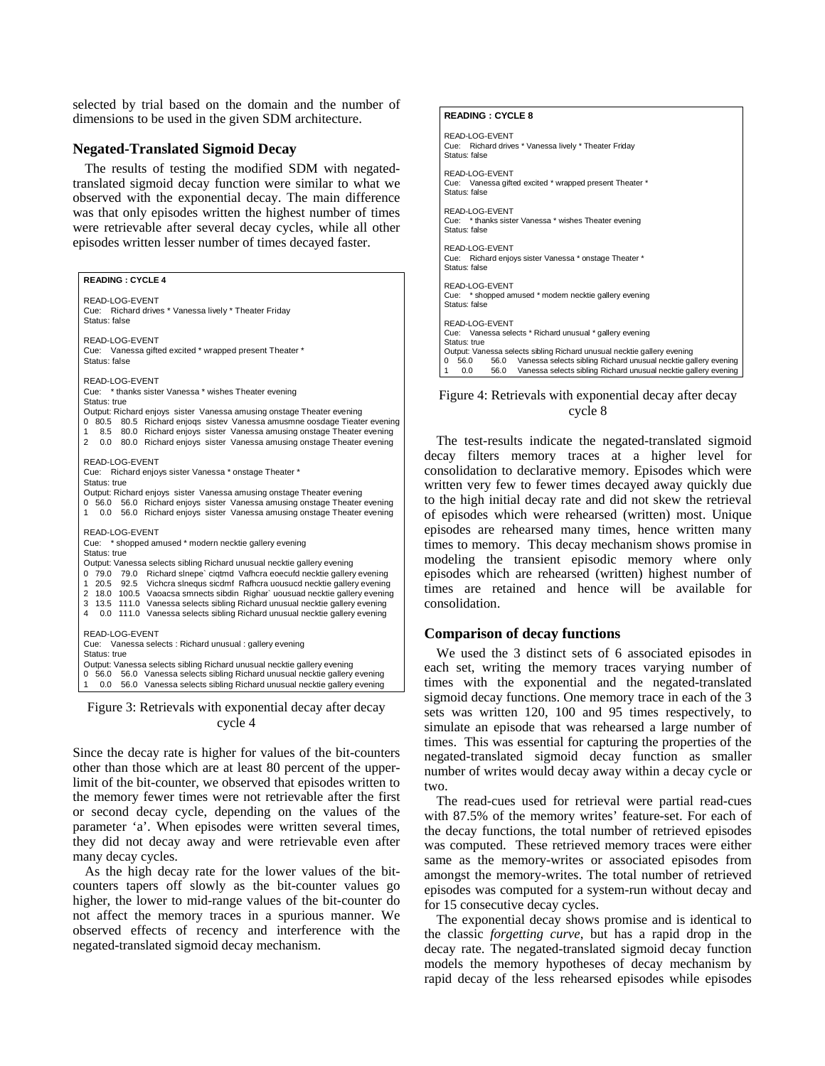selected by trial based on the domain and the number of dimensions to be used in the given SDM architecture.

#### **Negated-Translated Sigmoid Decay**

The results of testing the modified SDM with negatedtranslated sigmoid decay function were similar to what we observed with the exponential decay. The main difference was that only episodes written the highest number of times were retrievable after several decay cycles, while all other episodes written lesser number of times decayed faster.

#### **READING : CYCLE 4**

READ-LOG-EVENT Cue: Richard drives \* Vanessa lively \* Theater Friday Status: false READ-LOG-EVENT Cue: Vanessa gifted excited \* wrapped present Theater \* Status: false READ-LOG-EVENT Cue: \* thanks sister Vanessa \* wishes Theater evening Status: true Output: Richard enjoys sister Vanessa amusing onstage Theater evening 0 80.5 80.5 Richard enjoqs sistev Vanessa amusmne oosdage Tieater evening 1 8.5 80.0 Richard enjoys sister Vanessa amusing onstage Theater evening 2 0.0 80.0 Richard enjoys sister Vanessa amusing onstage Theater evening READ-LOG-EVENT Cue: Richard enjoys sister Vanessa \* onstage Theater \* Status: true Output: Richard enjoys sister Vanessa amusing onstage Theater evening 0 56.0 56.0 Richard enjoys sister Vanessa amusing onstage Theater evening 1 0.0 56.0 Richard enjoys sister Vanessa amusing onstage Theater evening READ-LOG-EVENT Cue: \* shopped amused \* modern necktie gallery evening Status: true Output: Vanessa selects sibling Richard unusual necktie gallery evening 0 79.0 79.0 Richard slnepe` ciqtmd Vafhcra eoecufd necktie gallery evening 1 20.5 92.5 Vichcra slnequs sicdmf Rafhcra uousucd necktie gallery evening 2 18.0 100.5 Vaoacsa smnects sibdin Righar` uousuad necktie gallery evening 3 13.5 111.0 Vanessa selects sibling Richard unusual necktie gallery evening 4 0.0 111.0 Vanessa selects sibling Richard unusual necktie gallery evening READ-LOG-EVENT Cue: Vanessa selects : Richard unusual : gallery evening Status: true Output: Vanessa selects sibling Richard unusual necktie gallery evening 0 56.0 56.0 Vanessa selects sibling Richard unusual necktie gallery evening 1 0.0 56.0 Vanessa selects sibling Richard unusual necktie gallery evening

Figure 3: Retrievals with exponential decay after decay cycle 4

Since the decay rate is higher for values of the bit-counters other than those which are at least 80 percent of the upperlimit of the bit-counter, we observed that episodes written to the memory fewer times were not retrievable after the first or second decay cycle, depending on the values of the parameter 'a'. When episodes were written several times, they did not decay away and were retrievable even after many decay cycles.

As the high decay rate for the lower values of the bitcounters tapers off slowly as the bit-counter values go higher, the lower to mid-range values of the bit-counter do not affect the memory traces in a spurious manner. We observed effects of recency and interference with the negated-translated sigmoid decay mechanism.

#### **READING : CYCLE 8**

READ-LOG-EVENT Cue: Richard drives \* Vanessa lively \* Theater Friday Status: false READ-LOG-EVENT Cue: Vanessa gifted excited \* wrapped present Theater Status: false READ-LOG-EVENT<br>Cue: \* thanks siste \* thanks sister Vanessa \* wishes Theater evening Status: false READ-LOG-EVENT Cue: Richard enjoys sister Vanessa \* onstage Theater \* Status: false READ-LOG-EVENT Cue: \* shopped amused \* modern necktie gallery evening Status: false READ-LOG-EVENT Cue: Vanessa selects \* Richard unusual \* gallery evening Status: true Output: Vanessa selects sibling Richard unusual necktie gallery evening<br>0 56.0 56.0 Vanessa selects sibling Richard unusual necktie gal 56.0 Vanessa selects sibling Richard unusual necktie gallery evening 1.00 56.0 Vanessa selects sibling Richard unusual necktie gallery evening

#### Figure 4: Retrievals with exponential decay after decay cycle 8

The test-results indicate the negated-translated sigmoid decay filters memory traces at a higher level for consolidation to declarative memory. Episodes which were written very few to fewer times decayed away quickly due to the high initial decay rate and did not skew the retrieval of episodes which were rehearsed (written) most. Unique episodes are rehearsed many times, hence written many times to memory. This decay mechanism shows promise in modeling the transient episodic memory where only episodes which are rehearsed (written) highest number of times are retained and hence will be available for consolidation.

#### **Comparison of decay functions**

We used the 3 distinct sets of 6 associated episodes in each set, writing the memory traces varying number of times with the exponential and the negated-translated sigmoid decay functions. One memory trace in each of the 3 sets was written 120, 100 and 95 times respectively, to simulate an episode that was rehearsed a large number of times. This was essential for capturing the properties of the negated-translated sigmoid decay function as smaller number of writes would decay away within a decay cycle or two.

The read-cues used for retrieval were partial read-cues with 87.5% of the memory writes' feature-set. For each of the decay functions, the total number of retrieved episodes was computed. These retrieved memory traces were either same as the memory-writes or associated episodes from amongst the memory-writes. The total number of retrieved episodes was computed for a system-run without decay and for 15 consecutive decay cycles.

The exponential decay shows promise and is identical to the classic *forgetting curve*, but has a rapid drop in the decay rate. The negated-translated sigmoid decay function models the memory hypotheses of decay mechanism by rapid decay of the less rehearsed episodes while episodes